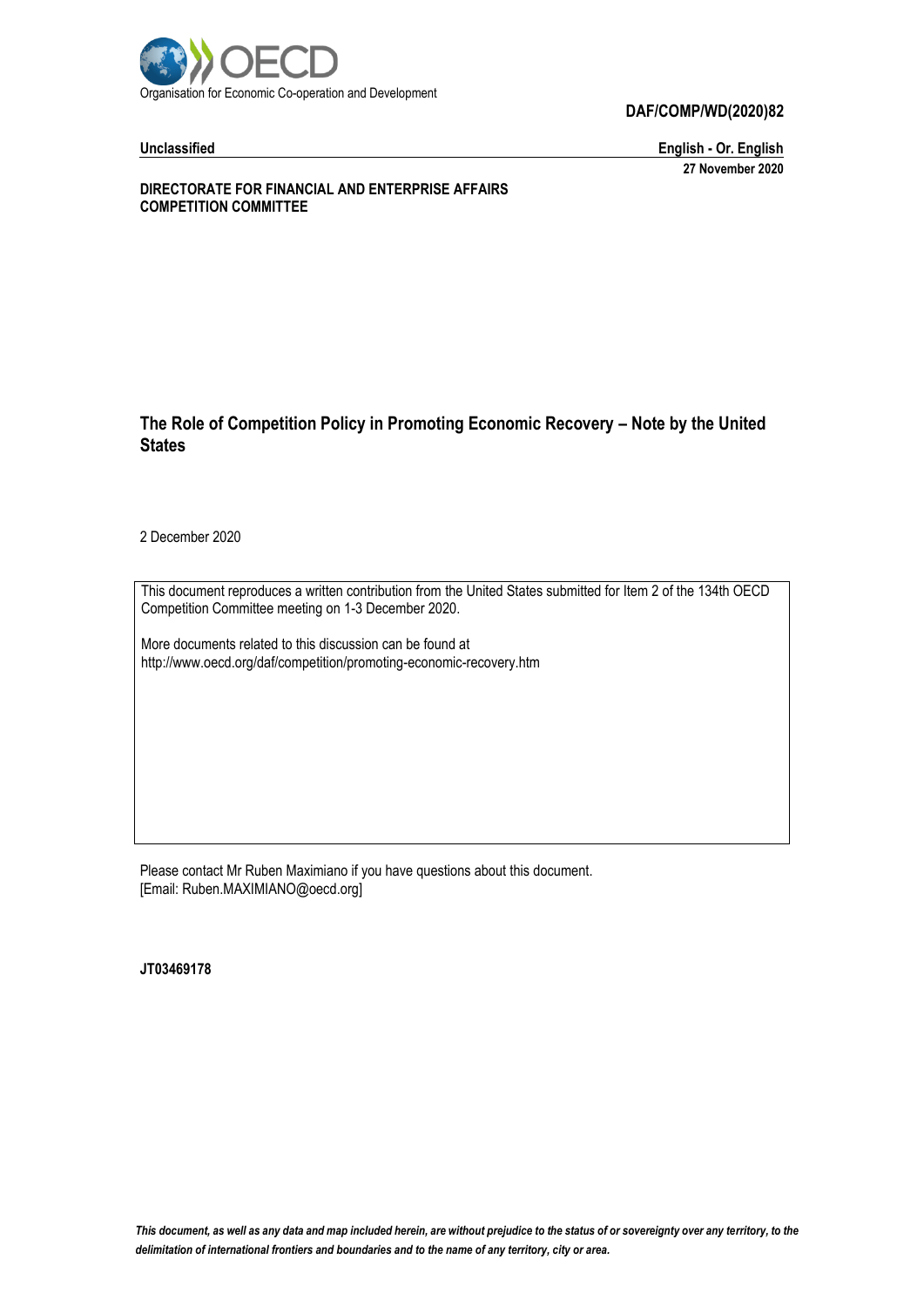

#### **DAF/COMP/WD(2020)82**

**Unclassified English - Or. English 27 November 2020**

**DIRECTORATE FOR FINANCIAL AND ENTERPRISE AFFAIRS COMPETITION COMMITTEE**

#### **The Role of Competition Policy in Promoting Economic Recovery – Note by the United States**

2 December 2020

This document reproduces a written contribution from the United States submitted for Item 2 of the 134th OECD Competition Committee meeting on 1-3 December 2020.

More documents related to this discussion can be found at http://www.oecd.org/daf/competition/promoting-economic-recovery.htm

Please contact Mr Ruben Maximiano if you have questions about this document. [Email: Ruben.MAXIMIANO@oecd.org]

**JT03469178**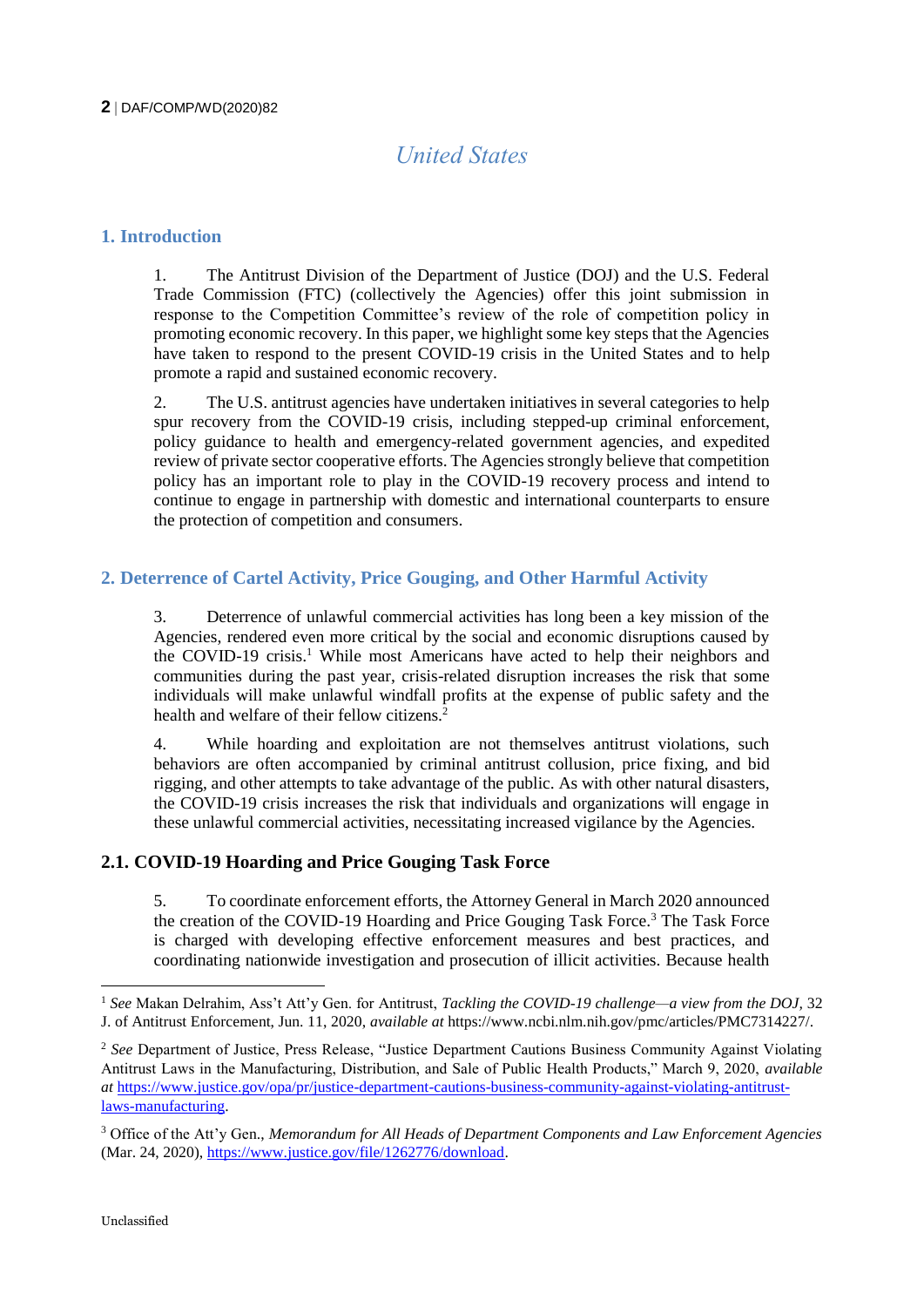# *United States*

#### **1. Introduction**

1. The Antitrust Division of the Department of Justice (DOJ) and the U.S. Federal Trade Commission (FTC) (collectively the Agencies) offer this joint submission in response to the Competition Committee's review of the role of competition policy in promoting economic recovery. In this paper, we highlight some key steps that the Agencies have taken to respond to the present COVID-19 crisis in the United States and to help promote a rapid and sustained economic recovery.

2. The U.S. antitrust agencies have undertaken initiatives in several categories to help spur recovery from the COVID-19 crisis, including stepped-up criminal enforcement, policy guidance to health and emergency-related government agencies, and expedited review of private sector cooperative efforts. The Agencies strongly believe that competition policy has an important role to play in the COVID-19 recovery process and intend to continue to engage in partnership with domestic and international counterparts to ensure the protection of competition and consumers.

## **2. Deterrence of Cartel Activity, Price Gouging, and Other Harmful Activity**

3. Deterrence of unlawful commercial activities has long been a key mission of the Agencies, rendered even more critical by the social and economic disruptions caused by the COVID-19 crisis.<sup>1</sup> While most Americans have acted to help their neighbors and communities during the past year, crisis-related disruption increases the risk that some individuals will make unlawful windfall profits at the expense of public safety and the health and welfare of their fellow citizens.<sup>2</sup>

4. While hoarding and exploitation are not themselves antitrust violations, such behaviors are often accompanied by criminal antitrust collusion, price fixing, and bid rigging, and other attempts to take advantage of the public. As with other natural disasters, the COVID-19 crisis increases the risk that individuals and organizations will engage in these unlawful commercial activities, necessitating increased vigilance by the Agencies.

#### **2.1. COVID-19 Hoarding and Price Gouging Task Force**

5. To coordinate enforcement efforts, the Attorney General in March 2020 announced the creation of the COVID-19 Hoarding and Price Gouging Task Force.<sup>3</sup> The Task Force is charged with developing effective enforcement measures and best practices, and coordinating nationwide investigation and prosecution of illicit activities. Because health

<sup>1</sup> *See* Makan Delrahim, Ass't Att'y Gen. for Antitrust, *Tackling the COVID-19 challenge—a view from the DOJ,* 32 J. of Antitrust Enforcement, Jun. 11, 2020, *available at* https://www.ncbi.nlm.nih.gov/pmc/articles/PMC7314227/.

<sup>&</sup>lt;sup>2</sup> See Department of Justice, Press Release, "Justice Department Cautions Business Community Against Violating Antitrust Laws in the Manufacturing, Distribution, and Sale of Public Health Products," March 9, 2020, *available at* [https://www.justice.gov/opa/pr/justice-department-cautions-business-community-against-violating-antitrust](https://www.justice.gov/opa/pr/justice-department-cautions-business-community-against-violating-antitrust-laws-manufacturing)[laws-manufacturing.](https://www.justice.gov/opa/pr/justice-department-cautions-business-community-against-violating-antitrust-laws-manufacturing)

<sup>3</sup> Office of the Att'y Gen., *Memorandum for All Heads of Department Components and Law Enforcement Agencies* (Mar. 24, 2020)[, https://www.justice.gov/file/1262776/download.](https://www.justice.gov/file/1262776/download)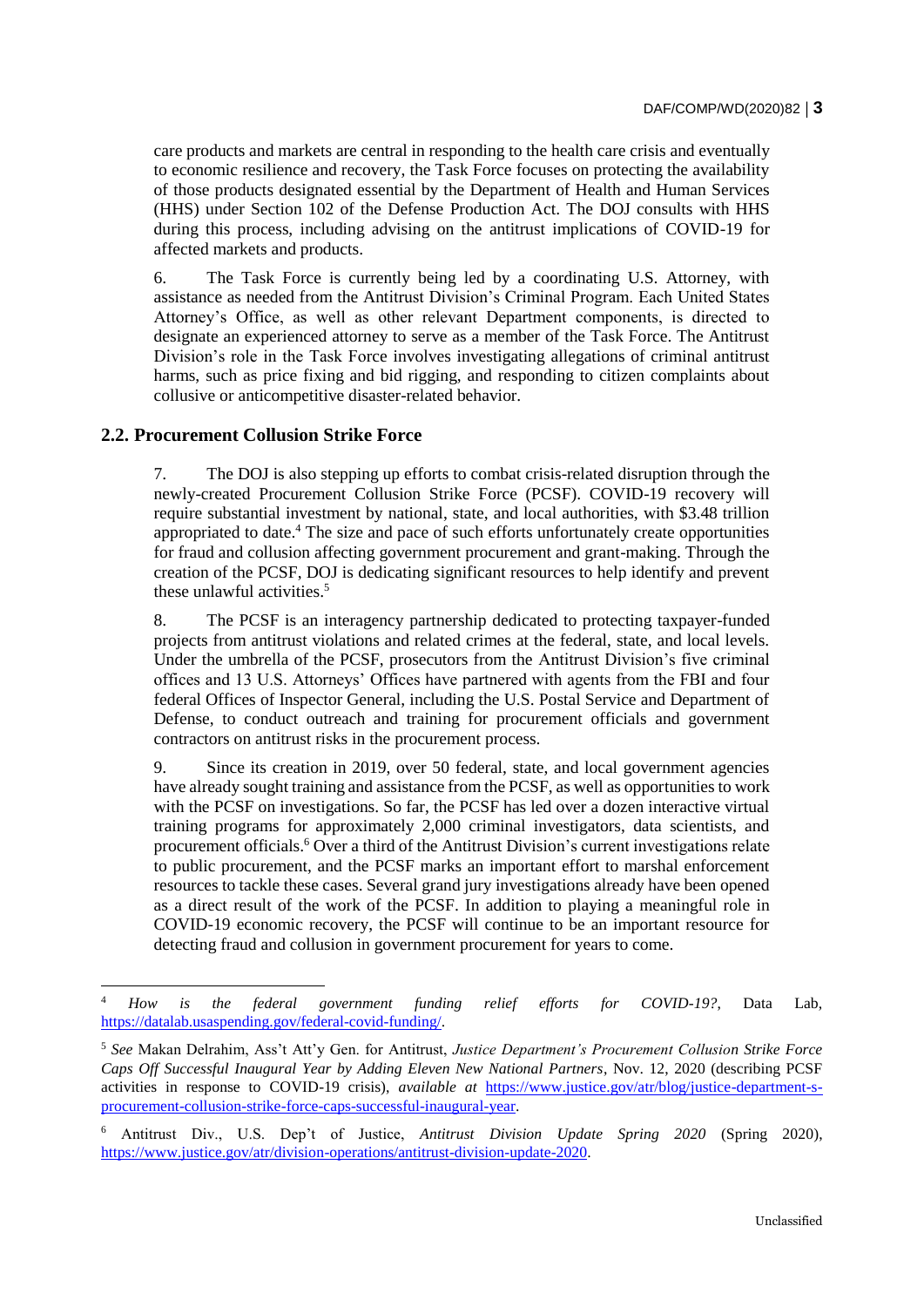care products and markets are central in responding to the health care crisis and eventually to economic resilience and recovery, the Task Force focuses on protecting the availability of those products designated essential by the Department of Health and Human Services (HHS) under Section 102 of the Defense Production Act. The DOJ consults with HHS during this process, including advising on the antitrust implications of COVID-19 for affected markets and products.

6. The Task Force is currently being led by a coordinating U.S. Attorney, with assistance as needed from the Antitrust Division's Criminal Program. Each United States Attorney's Office, as well as other relevant Department components, is directed to designate an experienced attorney to serve as a member of the Task Force. The Antitrust Division's role in the Task Force involves investigating allegations of criminal antitrust harms, such as price fixing and bid rigging, and responding to citizen complaints about collusive or anticompetitive disaster-related behavior.

#### **2.2. Procurement Collusion Strike Force**

-

7. The DOJ is also stepping up efforts to combat crisis-related disruption through the newly-created Procurement Collusion Strike Force (PCSF). COVID-19 recovery will require substantial investment by national, state, and local authorities, with \$3.48 trillion appropriated to date.<sup>4</sup> The size and pace of such efforts unfortunately create opportunities for fraud and collusion affecting government procurement and grant-making. Through the creation of the PCSF, DOJ is dedicating significant resources to help identify and prevent these unlawful activities.<sup>5</sup>

8. The PCSF is an interagency partnership dedicated to protecting taxpayer-funded projects from antitrust violations and related crimes at the federal, state, and local levels. Under the umbrella of the PCSF, prosecutors from the Antitrust Division's five criminal offices and 13 U.S. Attorneys' Offices have partnered with agents from the FBI and four federal Offices of Inspector General, including the U.S. Postal Service and Department of Defense, to conduct outreach and training for procurement officials and government contractors on antitrust risks in the procurement process.

9. Since its creation in 2019, over 50 federal, state, and local government agencies have already sought training and assistance from the PCSF, as well as opportunities to work with the PCSF on investigations. So far, the PCSF has led over a dozen interactive virtual training programs for approximately 2,000 criminal investigators, data scientists, and procurement officials.<sup>6</sup> Over a third of the Antitrust Division's current investigations relate to public procurement, and the PCSF marks an important effort to marshal enforcement resources to tackle these cases. Several grand jury investigations already have been opened as a direct result of the work of the PCSF. In addition to playing a meaningful role in COVID-19 economic recovery, the PCSF will continue to be an important resource for detecting fraud and collusion in government procurement for years to come.

<sup>4</sup> *How is the federal government funding relief efforts for COVID-19?*, Data Lab, [https://datalab.usaspending.gov/federal-covid-funding/.](https://datalab.usaspending.gov/federal-covid-funding/) 

<sup>5</sup> *See* Makan Delrahim, Ass't Att'y Gen. for Antitrust, *Justice Department's Procurement Collusion Strike Force Caps Off Successful Inaugural Year by Adding Eleven New National Partners*, Nov. 12, 2020 (describing PCSF activities in response to COVID-19 crisis), *available at* [https://www.justice.gov/atr/blog/justice-department-s](https://www.justice.gov/atr/blog/justice-department-s-procurement-collusion-strike-force-caps-successful-inaugural-year)[procurement-collusion-strike-force-caps-successful-inaugural-year.](https://www.justice.gov/atr/blog/justice-department-s-procurement-collusion-strike-force-caps-successful-inaugural-year) 

<sup>6</sup> Antitrust Div., U.S. Dep't of Justice, *Antitrust Division Update Spring 2020* (Spring 2020), [https://www.justice.gov/atr/division-operations/antitrust-division-update-2020.](https://www.justice.gov/atr/division-operations/antitrust-division-update-2020)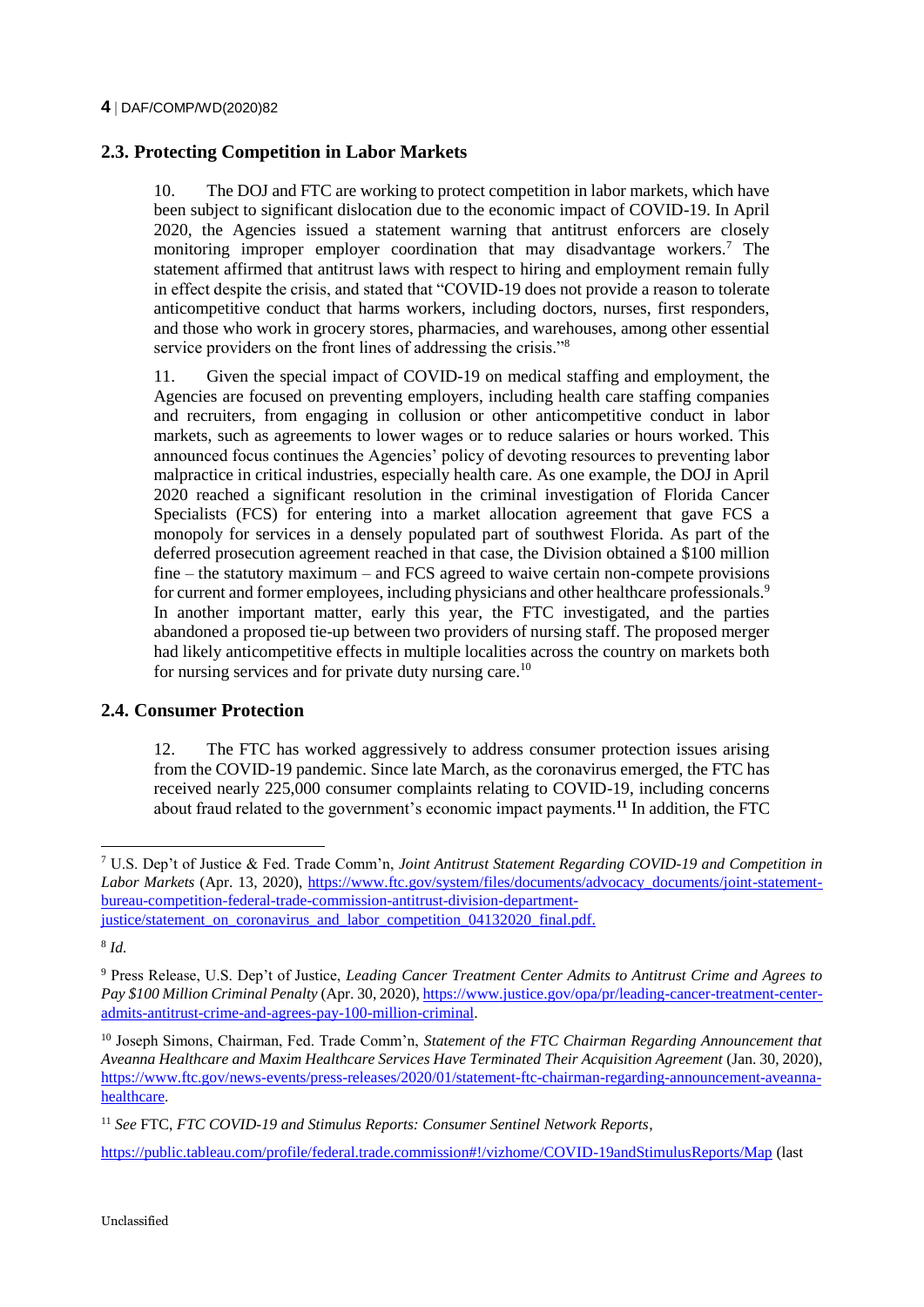# **2.3. Protecting Competition in Labor Markets**

10. The DOJ and FTC are working to protect competition in labor markets, which have been subject to significant dislocation due to the economic impact of COVID-19. In April 2020, the Agencies issued a statement warning that antitrust enforcers are closely monitoring improper employer coordination that may disadvantage workers.<sup>7</sup> The statement affirmed that antitrust laws with respect to hiring and employment remain fully in effect despite the crisis, and stated that "COVID-19 does not provide a reason to tolerate anticompetitive conduct that harms workers, including doctors, nurses, first responders, and those who work in grocery stores, pharmacies, and warehouses, among other essential service providers on the front lines of addressing the crisis."<sup>8</sup>

11. Given the special impact of COVID-19 on medical staffing and employment, the Agencies are focused on preventing employers, including health care staffing companies and recruiters, from engaging in collusion or other anticompetitive conduct in labor markets, such as agreements to lower wages or to reduce salaries or hours worked. This announced focus continues the Agencies' policy of devoting resources to preventing labor malpractice in critical industries, especially health care. As one example, the DOJ in April 2020 reached a significant resolution in the criminal investigation of Florida Cancer Specialists (FCS) for entering into a market allocation agreement that gave FCS a monopoly for services in a densely populated part of southwest Florida. As part of the deferred prosecution agreement reached in that case, the Division obtained a \$100 million fine – the statutory maximum – and FCS agreed to waive certain non-compete provisions for current and former employees, including physicians and other healthcare professionals.<sup>9</sup> In another important matter, early this year, the FTC investigated, and the parties abandoned a proposed tie-up between two providers of nursing staff. The proposed merger had likely anticompetitive effects in multiple localities across the country on markets both for nursing services and for private duty nursing care.<sup>10</sup>

## **2.4. Consumer Protection**

12. The FTC has worked aggressively to address consumer protection issues arising from the COVID-19 pandemic. Since late March, as the coronavirus emerged, the FTC has received nearly 225,000 consumer complaints relating to COVID-19, including concerns about fraud related to the government's economic impact payments.**<sup>11</sup>** In addition, the FTC

-

<https://public.tableau.com/profile/federal.trade.commission#!/vizhome/COVID-19andStimulusReports/Map> (last

<sup>7</sup> U.S. Dep't of Justice & Fed. Trade Comm'n, *Joint Antitrust Statement Regarding COVID-19 and Competition in Labor Markets* (Apr. 13, 2020), [https://www.ftc.gov/system/files/documents/advocacy\\_documents/joint-statement](https://www.ftc.gov/system/files/documents/advocacy_documents/joint-statement-bureau-competition-federal-trade-commission-antitrust-division-department-justice/statement_on_coronavirus_and_labor_competition_04132020_final.pdf)[bureau-competition-federal-trade-commission-antitrust-division-department](https://www.ftc.gov/system/files/documents/advocacy_documents/joint-statement-bureau-competition-federal-trade-commission-antitrust-division-department-justice/statement_on_coronavirus_and_labor_competition_04132020_final.pdf)[justice/statement\\_on\\_coronavirus\\_and\\_labor\\_competition\\_04132020\\_final.pdf.](https://www.ftc.gov/system/files/documents/advocacy_documents/joint-statement-bureau-competition-federal-trade-commission-antitrust-division-department-justice/statement_on_coronavirus_and_labor_competition_04132020_final.pdf)

<sup>8</sup> *Id.*

<sup>9</sup> Press Release, U.S. Dep't of Justice, *Leading Cancer Treatment Center Admits to Antitrust Crime and Agrees to Pay \$100 Million Criminal Penalty* (Apr. 30, 2020)[, https://www.justice.gov/opa/pr/leading-cancer-treatment-center](https://www.justice.gov/opa/pr/leading-cancer-treatment-center-admits-antitrust-crime-and-agrees-pay-100-million-criminal)[admits-antitrust-crime-and-agrees-pay-100-million-criminal.](https://www.justice.gov/opa/pr/leading-cancer-treatment-center-admits-antitrust-crime-and-agrees-pay-100-million-criminal)

<sup>10</sup> Joseph Simons, Chairman, Fed. Trade Comm'n, *Statement of the FTC Chairman Regarding Announcement that Aveanna Healthcare and Maxim Healthcare Services Have Terminated Their Acquisition Agreement* (Jan. 30, 2020), [https://www.ftc.gov/news-events/press-releases/2020/01/statement-ftc-chairman-regarding-announcement-aveanna](https://www.ftc.gov/news-events/press-releases/2020/01/statement-ftc-chairman-regarding-announcement-aveanna-healthcare)[healthcare.](https://www.ftc.gov/news-events/press-releases/2020/01/statement-ftc-chairman-regarding-announcement-aveanna-healthcare) 

<sup>11</sup> *See* FTC, *FTC COVID-19 and Stimulus Reports: Consumer Sentinel Network Reports*,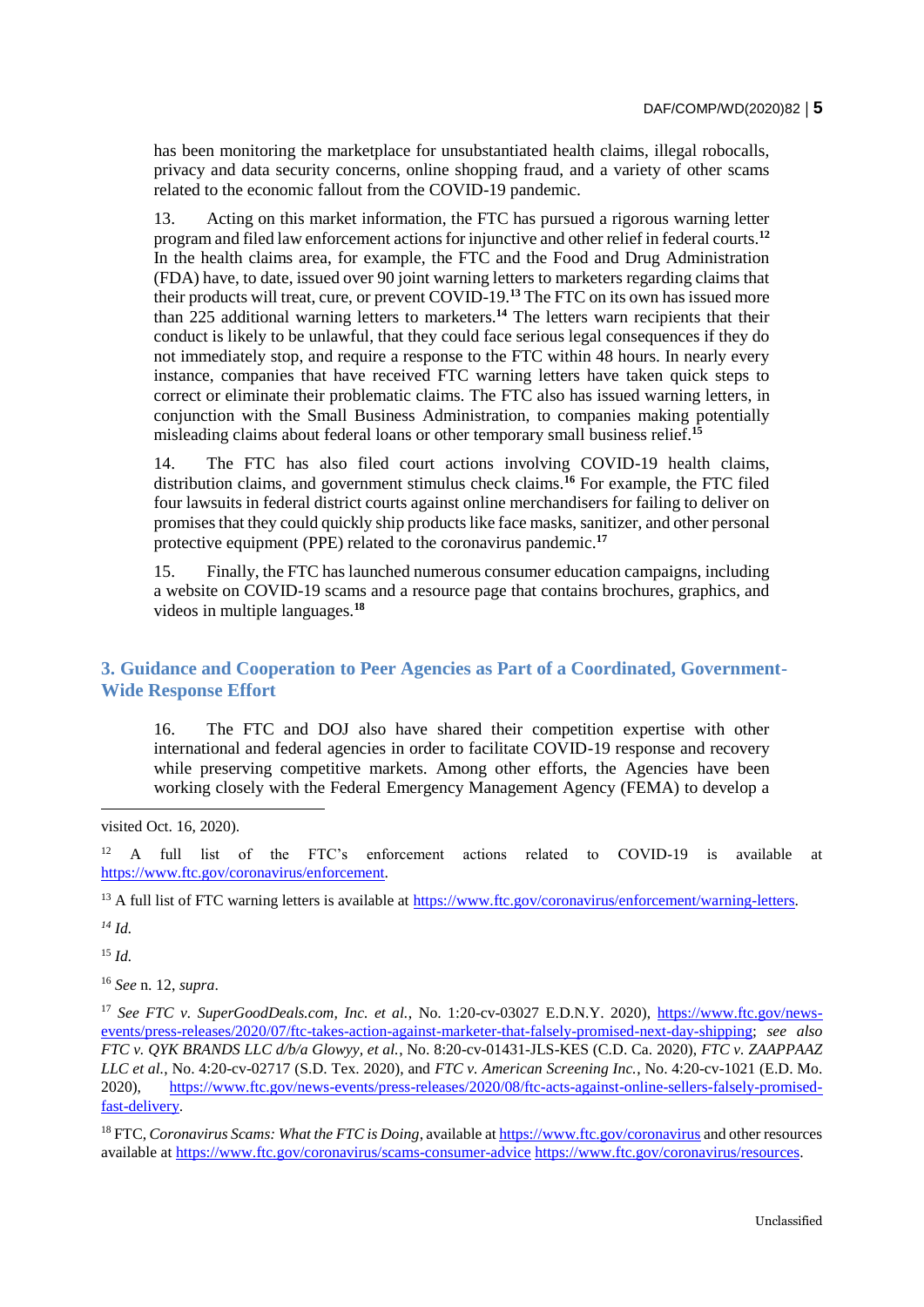has been monitoring the marketplace for unsubstantiated health claims, illegal robocalls, privacy and data security concerns, online shopping fraud, and a variety of other scams related to the economic fallout from the COVID-19 pandemic.

13. Acting on this market information, the FTC has pursued a rigorous warning letter program and filed law enforcement actions for injunctive and other relief in federal courts.**<sup>12</sup>** In the health claims area, for example, the FTC and the Food and Drug Administration (FDA) have, to date, issued over 90 joint warning letters to marketers regarding claims that their products will treat, cure, or prevent COVID-19.**<sup>13</sup>** The FTC on its own has issued more than 225 additional warning letters to marketers.**<sup>14</sup>** The letters warn recipients that their conduct is likely to be unlawful, that they could face serious legal consequences if they do not immediately stop, and require a response to the FTC within 48 hours. In nearly every instance, companies that have received FTC warning letters have taken quick steps to correct or eliminate their problematic claims. The FTC also has issued warning letters, in conjunction with the Small Business Administration, to companies making potentially misleading claims about federal loans or other temporary small business relief.**<sup>15</sup>**

14. The FTC has also filed court actions involving COVID-19 health claims, distribution claims, and government stimulus check claims.**<sup>16</sup>** For example, the FTC filed four lawsuits in federal district courts against online merchandisers for failing to deliver on promises that they could quickly ship products like face masks, sanitizer, and other personal protective equipment (PPE) related to the coronavirus pandemic.**<sup>17</sup>**

15. Finally, the FTC has launched numerous consumer education campaigns, including a website on COVID-19 scams and a resource page that contains brochures, graphics, and videos in multiple languages.**<sup>18</sup>**

## **3. Guidance and Cooperation to Peer Agencies as Part of a Coordinated, Government-Wide Response Effort**

16. The FTC and DOJ also have shared their competition expertise with other international and federal agencies in order to facilitate COVID-19 response and recovery while preserving competitive markets. Among other efforts, the Agencies have been working closely with the Federal Emergency Management Agency (FEMA) to develop a

visited Oct. 16, 2020).

<sup>12</sup> A full list of the FTC's enforcement actions related to COVID-19 is available at [https://www.ftc.gov/coronavirus/enforcement.](https://www.ftc.gov/coronavirus/enforcement)

<sup>13</sup> A full list of FTC warning letters is available at [https://www.ftc.gov/coronavirus/enforcement/warning-letters.](https://www.ftc.gov/coronavirus/enforcement/warning-letters)

*<sup>14</sup> Id.*

-

<sup>15</sup> *Id.*

<sup>16</sup> *See* n. 12, *supra*.

<sup>17</sup> See FTC v. SuperGoodDeals.com, Inc. et al., No. 1:20-cv-03027 E.D.N.Y. 2020), [https://www.ftc.gov/news](https://www.ftc.gov/news-events/press-releases/2020/07/ftc-takes-action-against-marketer-that-falsely-promised-next-day-shipping)[events/press-releases/2020/07/ftc-takes-action-against-marketer-that-falsely-promised-next-day-shipping;](https://www.ftc.gov/news-events/press-releases/2020/07/ftc-takes-action-against-marketer-that-falsely-promised-next-day-shipping) *see also FTC v. QYK BRANDS LLC d/b/a Glowyy, et al.*, No. 8:20-cv-01431-JLS-KES (C.D. Ca. 2020), *FTC v. ZAAPPAAZ LLC et al.*, No. 4:20-cv-02717 (S.D. Tex. 2020), and *FTC v. American Screening Inc.*, No. 4:20-cv-1021 (E.D. Mo. 2020), [https://www.ftc.gov/news-events/press-releases/2020/08/ftc-acts-against-online-sellers-falsely-promised](https://www.ftc.gov/news-events/press-releases/2020/08/ftc-acts-against-online-sellers-falsely-promised-fast-delivery)[fast-delivery.](https://www.ftc.gov/news-events/press-releases/2020/08/ftc-acts-against-online-sellers-falsely-promised-fast-delivery)

<sup>18</sup> FTC, *Coronavirus Scams: What the FTC is Doing*, available at<https://www.ftc.gov/coronavirus> and other resources available at<https://www.ftc.gov/coronavirus/scams-consumer-advice> [https://www.ftc.gov/coronavirus/resources.](https://www.ftc.gov/coronavirus/resources)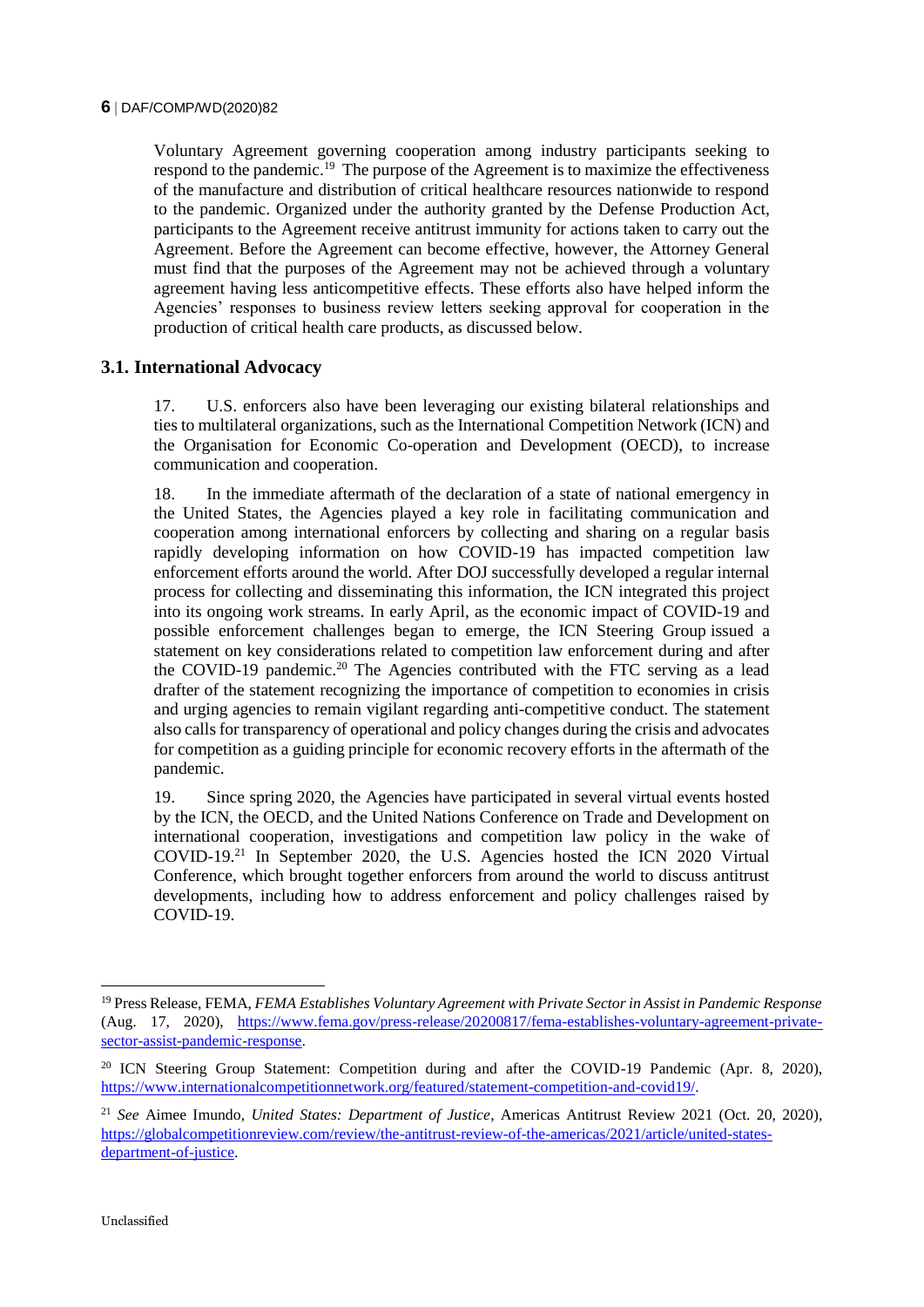#### **6** DAF/COMP/WD(2020)82

Voluntary Agreement governing cooperation among industry participants seeking to respond to the pandemic.<sup>19</sup> The purpose of the Agreement is to maximize the effectiveness of the manufacture and distribution of critical healthcare resources nationwide to respond to the pandemic. Organized under the authority granted by the Defense Production Act, participants to the Agreement receive antitrust immunity for actions taken to carry out the Agreement. Before the Agreement can become effective, however, the Attorney General must find that the purposes of the Agreement may not be achieved through a voluntary agreement having less anticompetitive effects. These efforts also have helped inform the Agencies' responses to business review letters seeking approval for cooperation in the production of critical health care products, as discussed below.

#### **3.1. International Advocacy**

17. U.S. enforcers also have been leveraging our existing bilateral relationships and ties to multilateral organizations, such as the International Competition Network (ICN) and the Organisation for Economic Co-operation and Development (OECD), to increase communication and cooperation.

18. In the immediate aftermath of the declaration of a state of national emergency in the United States, the Agencies played a key role in facilitating communication and cooperation among international enforcers by collecting and sharing on a regular basis rapidly developing information on how COVID-19 has impacted competition law enforcement efforts around the world. After DOJ successfully developed a regular internal process for collecting and disseminating this information, the ICN integrated this project into its ongoing work streams. In early April, as the economic impact of COVID-19 and possible enforcement challenges began to emerge, the ICN Steering Group issued a statement on key considerations related to competition law enforcement during and after the COVID-19 pandemic.<sup>20</sup> The Agencies contributed with the FTC serving as a lead drafter of the statement recognizing the importance of competition to economies in crisis and urging agencies to remain vigilant regarding anti-competitive conduct. The statement also calls for transparency of operational and policy changes during the crisis and advocates for competition as a guiding principle for economic recovery efforts in the aftermath of the pandemic.

19. Since spring 2020, the Agencies have participated in several virtual events hosted by the ICN, the OECD, and the United Nations Conference on Trade and Development on international cooperation, investigations and competition law policy in the wake of COVID-19.<sup>21</sup> In September 2020, the U.S. Agencies hosted the ICN 2020 Virtual Conference, which brought together enforcers from around the world to discuss antitrust developments, including how to address enforcement and policy challenges raised by COVID-19.

<sup>19</sup> Press Release, FEMA, *FEMA Establishes Voluntary Agreement with Private Sector in Assist in Pandemic Response*  (Aug. 17, 2020), [https://www.fema.gov/press-release/20200817/fema-establishes-voluntary-agreement-private](https://www.fema.gov/press-release/20200817/fema-establishes-voluntary-agreement-private-sector-assist-pandemic-response)[sector-assist-pandemic-response.](https://www.fema.gov/press-release/20200817/fema-establishes-voluntary-agreement-private-sector-assist-pandemic-response)

<sup>&</sup>lt;sup>20</sup> ICN Steering Group Statement: Competition during and after the COVID-19 Pandemic (Apr. 8, 2020), [https://www.internationalcompetitionnetwork.org/featured/statement-competition-and-covid19/.](https://www.internationalcompetitionnetwork.org/featured/statement-competition-and-covid19/)

<sup>21</sup> *See* Aimee Imundo, *United States: Department of Justice*, Americas Antitrust Review 2021 (Oct. 20, 2020), [https://globalcompetitionreview.com/review/the-antitrust-review-of-the-americas/2021/article/united-states](https://globalcompetitionreview.com/review/the-antitrust-review-of-the-americas/2021/article/united-states-department-of-justice)[department-of-justice.](https://globalcompetitionreview.com/review/the-antitrust-review-of-the-americas/2021/article/united-states-department-of-justice)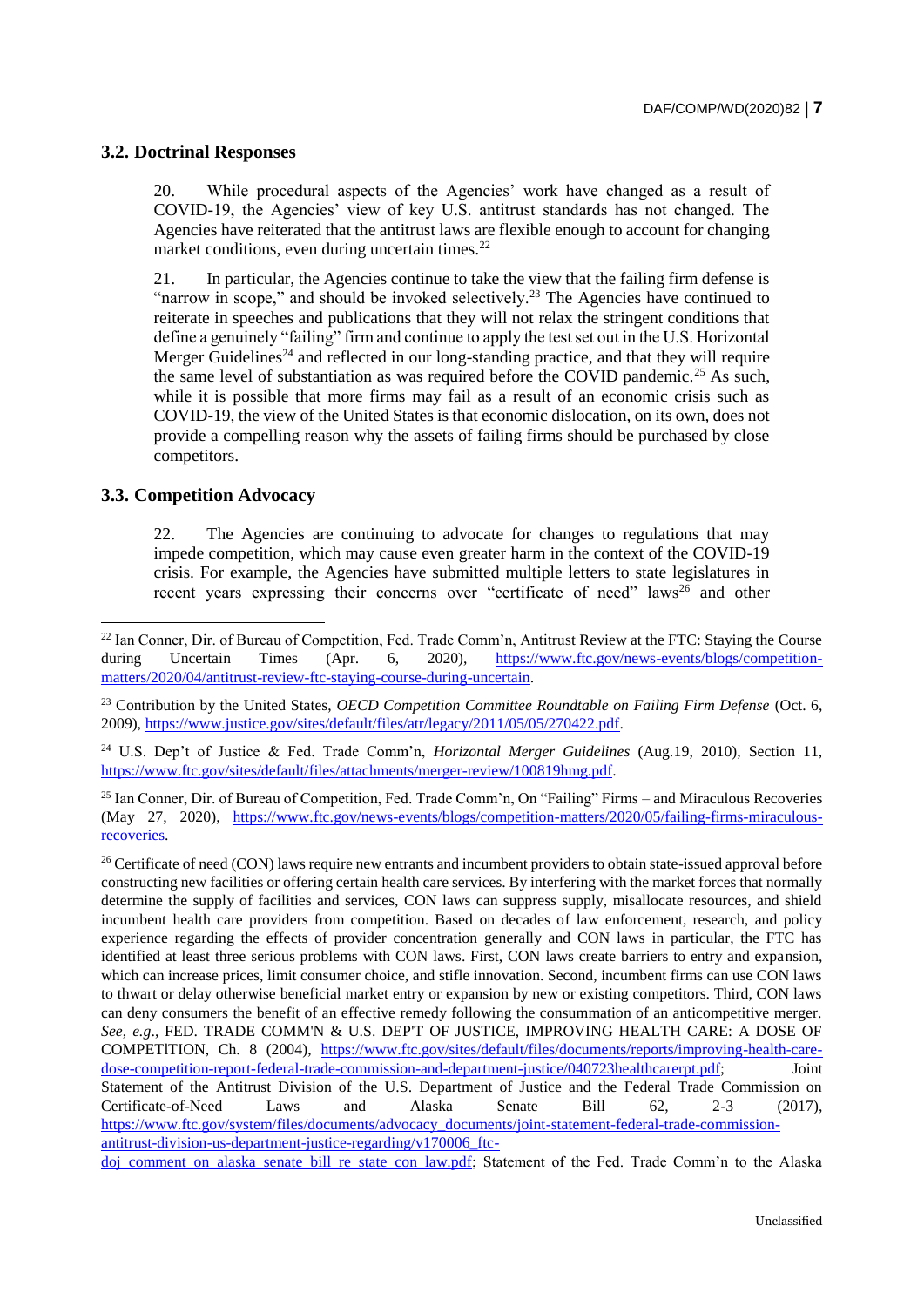#### **3.2. Doctrinal Responses**

20. While procedural aspects of the Agencies' work have changed as a result of COVID-19, the Agencies' view of key U.S. antitrust standards has not changed. The Agencies have reiterated that the antitrust laws are flexible enough to account for changing market conditions, even during uncertain times. $^{22}$ 

21. In particular, the Agencies continue to take the view that the failing firm defense is "narrow in scope," and should be invoked selectively.<sup>23</sup> The Agencies have continued to reiterate in speeches and publications that they will not relax the stringent conditions that define a genuinely "failing" firm and continue to apply the test set out in the U.S. Horizontal Merger Guidelines<sup>24</sup> and reflected in our long-standing practice, and that they will require the same level of substantiation as was required before the COVID pandemic.<sup>25</sup> As such, while it is possible that more firms may fail as a result of an economic crisis such as COVID-19, the view of the United States is that economic dislocation, on its own, does not provide a compelling reason why the assets of failing firms should be purchased by close competitors.

#### **3.3. Competition Advocacy**

-

22. The Agencies are continuing to advocate for changes to regulations that may impede competition, which may cause even greater harm in the context of the COVID-19 crisis. For example, the Agencies have submitted multiple letters to state legislatures in recent years expressing their concerns over "certificate of need" laws<sup>26</sup> and other

<sup>24</sup> U.S. Dep't of Justice & Fed. Trade Comm'n, *Horizontal Merger Guidelines* (Aug.19, 2010), Section 11, [https://www.ftc.gov/sites/default/files/attachments/merger-review/100819hmg.pdf.](https://www.ftc.gov/sites/default/files/attachments/merger-review/100819hmg.pdf)

<sup>25</sup> Ian Conner, Dir. of Bureau of Competition, Fed. Trade Comm'n, On "Failing" Firms – and Miraculous Recoveries (May 27, 2020), [https://www.ftc.gov/news-events/blogs/competition-matters/2020/05/failing-firms-miraculous](https://www.ftc.gov/news-events/blogs/competition-matters/2020/05/failing-firms-miraculous-recoveries)[recoveries.](https://www.ftc.gov/news-events/blogs/competition-matters/2020/05/failing-firms-miraculous-recoveries) 

<sup>26</sup> Certificate of need (CON) laws require new entrants and incumbent providers to obtain state-issued approval before constructing new facilities or offering certain health care services. By interfering with the market forces that normally determine the supply of facilities and services, CON laws can suppress supply, misallocate resources, and shield incumbent health care providers from competition. Based on decades of law enforcement, research, and policy experience regarding the effects of provider concentration generally and CON laws in particular, the FTC has identified at least three serious problems with CON laws. First, CON laws create barriers to entry and expansion, which can increase prices, limit consumer choice, and stifle innovation. Second, incumbent firms can use CON laws to thwart or delay otherwise beneficial market entry or expansion by new or existing competitors. Third, CON laws can deny consumers the benefit of an effective remedy following the consummation of an anticompetitive merger. *See*, *e.g*., FED. TRADE COMM'N & U.S. DEP'T OF JUSTICE, IMPROVING HEALTH CARE: A DOSE OF COMPETlTION, Ch. 8 (2004), [https://www.ftc.gov/sites/default/files/documents/reports/improving-health-care](https://www.ftc.gov/sites/default/files/documents/reports/improving-health-care-dose-competition-report-federal-trade-commission-and-department-justice/040723healthcarerpt.pdf)[dose-competition-report-federal-trade-commission-and-department-justice/040723healthcarerpt.pdf;](https://www.ftc.gov/sites/default/files/documents/reports/improving-health-care-dose-competition-report-federal-trade-commission-and-department-justice/040723healthcarerpt.pdf) Joint Statement of the Antitrust Division of the U.S. Department of Justice and the Federal Trade Commission on Certificate-of-Need Laws and Alaska Senate Bill 62, 2-3 (2017), [https://www.ftc.gov/system/files/documents/advocacy\\_documents/joint-statement-federal-trade-commission](https://www.ftc.gov/system/files/documents/advocacy_documents/joint-statement-federal-trade-commission-antitrust-division-us-department-justice-regarding/v170006_ftc-doj_comment_on_alaska_senate_bill_re_state_con_law.pdf)[antitrust-division-us-department-justice-regarding/v170006\\_ftc-](https://www.ftc.gov/system/files/documents/advocacy_documents/joint-statement-federal-trade-commission-antitrust-division-us-department-justice-regarding/v170006_ftc-doj_comment_on_alaska_senate_bill_re_state_con_law.pdf)

[doj\\_comment\\_on\\_alaska\\_senate\\_bill\\_re\\_state\\_con\\_law.pdf;](https://www.ftc.gov/system/files/documents/advocacy_documents/joint-statement-federal-trade-commission-antitrust-division-us-department-justice-regarding/v170006_ftc-doj_comment_on_alaska_senate_bill_re_state_con_law.pdf) Statement of the Fed. Trade Comm'n to the Alaska

<sup>&</sup>lt;sup>22</sup> Ian Conner, Dir. of Bureau of Competition, Fed. Trade Comm'n, Antitrust Review at the FTC: Staying the Course during Uncertain Times (Apr. 6, 2020), [https://www.ftc.gov/news-events/blogs/competition](https://www.ftc.gov/news-events/blogs/competition-matters/2020/04/antitrust-review-ftc-staying-course-during-uncertain)[matters/2020/04/antitrust-review-ftc-staying-course-during-uncertain.](https://www.ftc.gov/news-events/blogs/competition-matters/2020/04/antitrust-review-ftc-staying-course-during-uncertain)

<sup>&</sup>lt;sup>23</sup> Contribution by the United States, *OECD Competition Committee Roundtable on Failing Firm Defense* (Oct. 6, 2009)[, https://www.justice.gov/sites/default/files/atr/legacy/2011/05/05/270422.pdf.](https://www.justice.gov/sites/default/files/atr/legacy/2011/05/05/270422.pdf)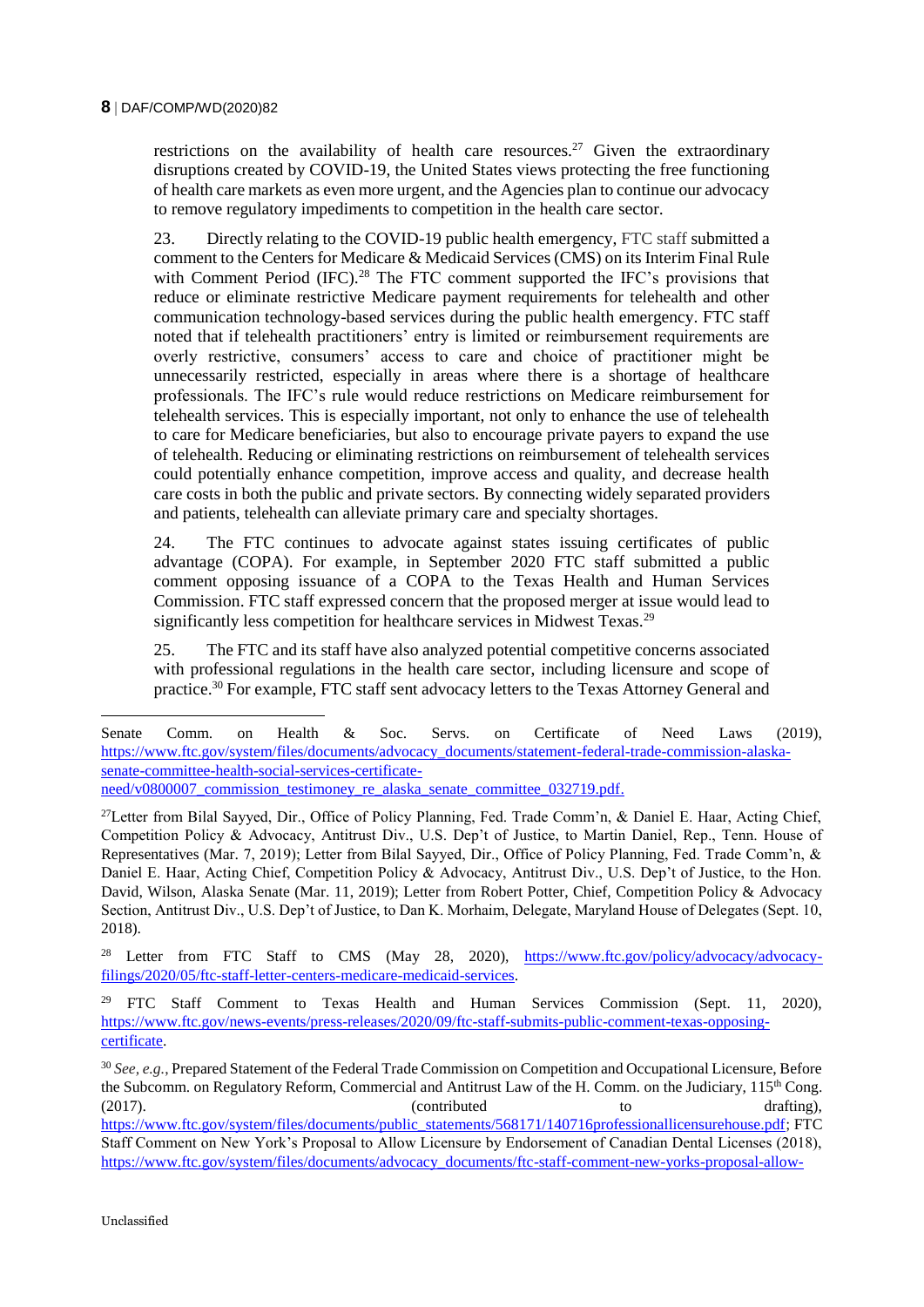restrictions on the availability of health care resources.<sup>27</sup> Given the extraordinary disruptions created by COVID-19, the United States views protecting the free functioning of health care markets as even more urgent, and the Agencies plan to continue our advocacy to remove regulatory impediments to competition in the health care sector.

23. Directly relating to the COVID-19 public health emergency, FTC staff submitted a comment to the Centers for Medicare & Medicaid Services (CMS) on its Interim Final Rule with Comment Period  $(IFC)$ <sup>28</sup>. The FTC comment supported the IFC's provisions that reduce or eliminate restrictive Medicare payment requirements for telehealth and other communication technology-based services during the public health emergency. FTC staff noted that if telehealth practitioners' entry is limited or reimbursement requirements are overly restrictive, consumers' access to care and choice of practitioner might be unnecessarily restricted, especially in areas where there is a shortage of healthcare professionals. The IFC's rule would reduce restrictions on Medicare reimbursement for telehealth services. This is especially important, not only to enhance the use of telehealth to care for Medicare beneficiaries, but also to encourage private payers to expand the use of telehealth. Reducing or eliminating restrictions on reimbursement of telehealth services could potentially enhance competition, improve access and quality, and decrease health care costs in both the public and private sectors. By connecting widely separated providers and patients, telehealth can alleviate primary care and specialty shortages.

24. The FTC continues to advocate against states issuing certificates of public advantage (COPA). For example, in September 2020 FTC staff submitted a public comment opposing issuance of a COPA to the Texas Health and Human Services Commission. FTC staff expressed concern that the proposed merger at issue would lead to significantly less competition for healthcare services in Midwest Texas.<sup>29</sup>

25. The FTC and its staff have also analyzed potential competitive concerns associated with professional regulations in the health care sector, including licensure and scope of practice.<sup>30</sup> For example, FTC staff sent advocacy letters to the Texas Attorney General and

<sup>27</sup>Letter from Bilal Sayyed, Dir., Office of Policy Planning, Fed. Trade Comm'n, & Daniel E. Haar, Acting Chief, Competition Policy & Advocacy, Antitrust Div., U.S. Dep't of Justice, to Martin Daniel, Rep., Tenn. House of Representatives (Mar. 7, 2019); Letter from Bilal Sayyed, Dir., Office of Policy Planning, Fed. Trade Comm'n, & Daniel E. Haar, Acting Chief, Competition Policy & Advocacy, Antitrust Div., U.S. Dep't of Justice, to the Hon. David, Wilson, Alaska Senate (Mar. 11, 2019); Letter from Robert Potter, Chief, Competition Policy & Advocacy Section, Antitrust Div., U.S. Dep't of Justice, to Dan K. Morhaim, Delegate, Maryland House of Delegates (Sept. 10, 2018).

<sup>28</sup> Letter from FTC Staff to CMS (May 28, 2020), [https://www.ftc.gov/policy/advocacy/advocacy](https://www.ftc.gov/policy/advocacy/advocacy-filings/2020/05/ftc-staff-letter-centers-medicare-medicaid-services)[filings/2020/05/ftc-staff-letter-centers-medicare-medicaid-services.](https://www.ftc.gov/policy/advocacy/advocacy-filings/2020/05/ftc-staff-letter-centers-medicare-medicaid-services)

<sup>29</sup> FTC Staff Comment to Texas Health and Human Services Commission (Sept. 11, 2020), [https://www.ftc.gov/news-events/press-releases/2020/09/ftc-staff-submits-public-comment-texas-opposing](https://www.ftc.gov/news-events/press-releases/2020/09/ftc-staff-submits-public-comment-texas-opposing-certificate)[certificate.](https://www.ftc.gov/news-events/press-releases/2020/09/ftc-staff-submits-public-comment-texas-opposing-certificate)

<sup>30</sup> *See, e.g.*, Prepared Statement of the Federal Trade Commission on Competition and Occupational Licensure, Before the Subcomm. on Regulatory Reform, Commercial and Antitrust Law of the H. Comm. on the Judiciary, 115<sup>th</sup> Cong. (2017). (contributed to drafting),  $\frac{1}{2}$  (contributed to drafting), [https://www.ftc.gov/system/files/documents/public\\_statements/568171/140716professionallicensurehouse.pdf;](https://www.ftc.gov/system/files/documents/public_statements/568171/140716professionallicensurehouse.pdf) FTC Staff Comment on New York's Proposal to Allow Licensure by Endorsement of Canadian Dental Licenses (2018), [https://www.ftc.gov/system/files/documents/advocacy\\_documents/ftc-staff-comment-new-yorks-proposal-allow-](https://www.ftc.gov/system/files/documents/advocacy_documents/ftc-staff-comment-new-yorks-proposal-allow-licensure-endorsement-canadian-dental-licenses/v180007_ftc_staff_comment_to_nys_ed_dept_re_dental_licensure_requirements.pdf)

Senate Comm. on Health & Soc. Servs. on Certificate of Need Laws (2019), [https://www.ftc.gov/system/files/documents/advocacy\\_documents/statement-federal-trade-commission-alaska](https://www.ftc.gov/system/files/documents/advocacy_documents/statement-federal-trade-commission-alaska-senate-committee-health-social-services-certificate-need/v0800007_commission_testimoney_re_alaska_senate_committee_032719.pdf)[senate-committee-health-social-services-certificate](https://www.ftc.gov/system/files/documents/advocacy_documents/statement-federal-trade-commission-alaska-senate-committee-health-social-services-certificate-need/v0800007_commission_testimoney_re_alaska_senate_committee_032719.pdf)need/v0800007 commission testimoney re alaska senate committee 032719.pdf.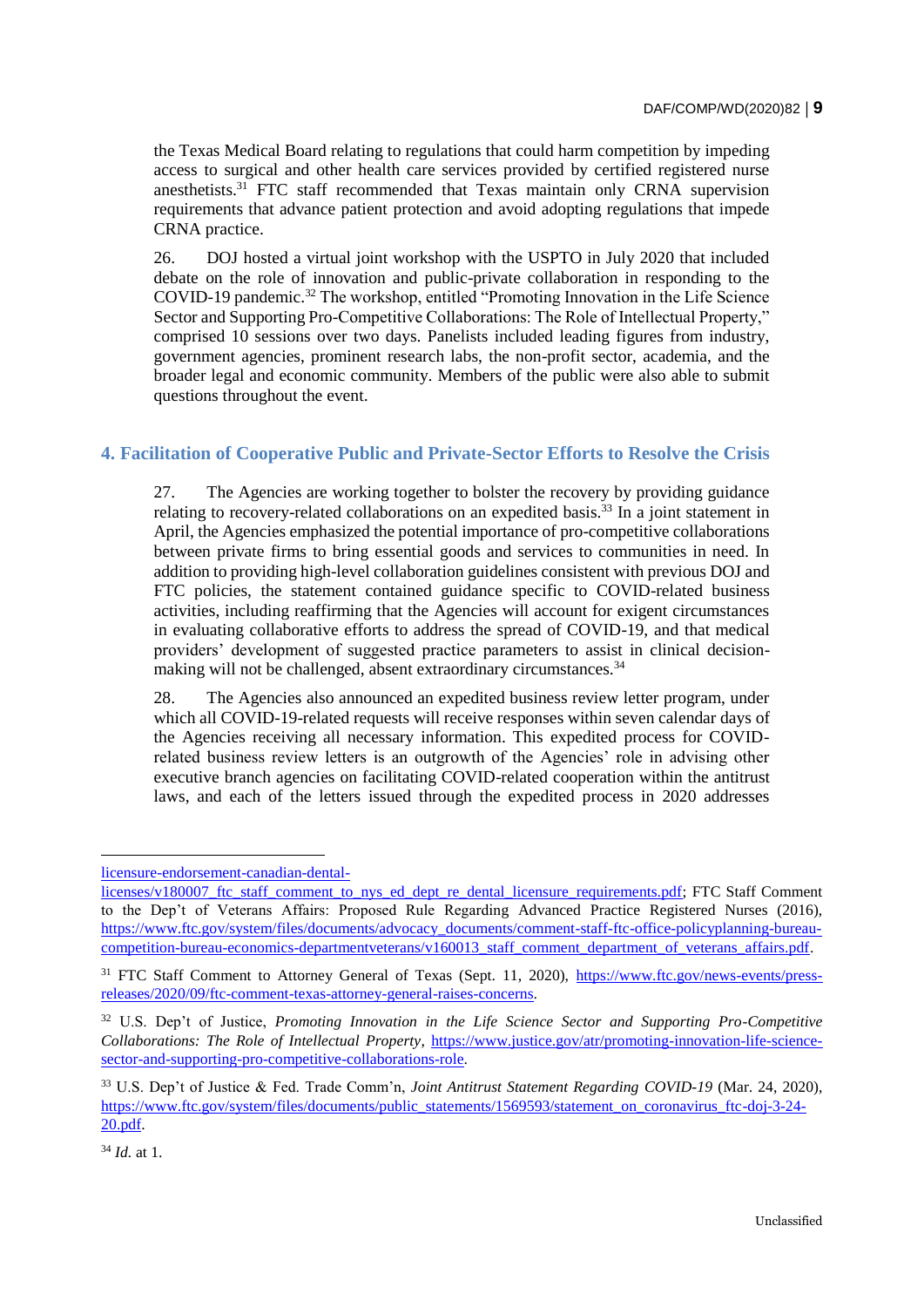the Texas Medical Board relating to regulations that could harm competition by impeding access to surgical and other health care services provided by certified registered nurse anesthetists.<sup>31</sup> FTC staff recommended that Texas maintain only CRNA supervision requirements that advance patient protection and avoid adopting regulations that impede CRNA practice.

26. DOJ hosted a virtual joint workshop with the USPTO in July 2020 that included debate on the role of innovation and public-private collaboration in responding to the COVID-19 pandemic.<sup>32</sup> The workshop, entitled "Promoting Innovation in the Life Science Sector and Supporting Pro-Competitive Collaborations: The Role of Intellectual Property," comprised 10 sessions over two days. Panelists included leading figures from industry, government agencies, prominent research labs, the non-profit sector, academia, and the broader legal and economic community. Members of the public were also able to submit questions throughout the event.

#### **4. Facilitation of Cooperative Public and Private-Sector Efforts to Resolve the Crisis**

27. The Agencies are working together to bolster the recovery by providing guidance relating to recovery-related collaborations on an expedited basis.<sup>33</sup> In a joint statement in April, the Agencies emphasized the potential importance of pro-competitive collaborations between private firms to bring essential goods and services to communities in need. In addition to providing high-level collaboration guidelines consistent with previous DOJ and FTC policies, the statement contained guidance specific to COVID-related business activities, including reaffirming that the Agencies will account for exigent circumstances in evaluating collaborative efforts to address the spread of COVID-19, and that medical providers' development of suggested practice parameters to assist in clinical decisionmaking will not be challenged, absent extraordinary circumstances.<sup>34</sup>

28. The Agencies also announced an expedited business review letter program, under which all COVID-19-related requests will receive responses within seven calendar days of the Agencies receiving all necessary information. This expedited process for COVIDrelated business review letters is an outgrowth of the Agencies' role in advising other executive branch agencies on facilitating COVID-related cooperation within the antitrust laws, and each of the letters issued through the expedited process in 2020 addresses

[licensure-endorsement-canadian-dental-](https://www.ftc.gov/system/files/documents/advocacy_documents/ftc-staff-comment-new-yorks-proposal-allow-licensure-endorsement-canadian-dental-licenses/v180007_ftc_staff_comment_to_nys_ed_dept_re_dental_licensure_requirements.pdf)

[licenses/v180007\\_ftc\\_staff\\_comment\\_to\\_nys\\_ed\\_dept\\_re\\_dental\\_licensure\\_requirements.pdf;](https://www.ftc.gov/system/files/documents/advocacy_documents/ftc-staff-comment-new-yorks-proposal-allow-licensure-endorsement-canadian-dental-licenses/v180007_ftc_staff_comment_to_nys_ed_dept_re_dental_licensure_requirements.pdf) FTC Staff Comment to the Dep't of Veterans Affairs: Proposed Rule Regarding Advanced Practice Registered Nurses (2016), [https://www.ftc.gov/system/files/documents/advocacy\\_documents/comment-staff-ftc-office-policyplanning-bureau](https://www.ftc.gov/system/files/documents/advocacy_documents/comment-staff-ftc-office-policyplanning-bureau-competition-bureau-economics-departmentveterans/v160013_staff_comment_department_of_veterans_affairs.pdf)[competition-bureau-economics-departmentveterans/v160013\\_staff\\_comment\\_department\\_of\\_veterans\\_affairs.pdf.](https://www.ftc.gov/system/files/documents/advocacy_documents/comment-staff-ftc-office-policyplanning-bureau-competition-bureau-economics-departmentveterans/v160013_staff_comment_department_of_veterans_affairs.pdf)

<sup>&</sup>lt;sup>31</sup> FTC Staff Comment to Attorney General of Texas (Sept. 11, 2020), [https://www.ftc.gov/news-events/press](https://www.ftc.gov/news-events/press-releases/2020/09/ftc-comment-texas-attorney-general-raises-concerns)[releases/2020/09/ftc-comment-texas-attorney-general-raises-concerns.](https://www.ftc.gov/news-events/press-releases/2020/09/ftc-comment-texas-attorney-general-raises-concerns)

<sup>32</sup> U.S. Dep't of Justice, *Promoting Innovation in the Life Science Sector and Supporting Pro-Competitive Collaborations: The Role of Intellectual Property*, [https://www.justice.gov/atr/promoting-innovation-life-science](https://www.justice.gov/atr/promoting-innovation-life-science-sector-and-supporting-pro-competitive-collaborations-role)[sector-and-supporting-pro-competitive-collaborations-role.](https://www.justice.gov/atr/promoting-innovation-life-science-sector-and-supporting-pro-competitive-collaborations-role)

<sup>33</sup> U.S. Dep't of Justice & Fed. Trade Comm'n, *Joint Antitrust Statement Regarding COVID-19* (Mar. 24, 2020), [https://www.ftc.gov/system/files/documents/public\\_statements/1569593/statement\\_on\\_coronavirus\\_ftc-doj-3-24-](https://www.ftc.gov/system/files/documents/public_statements/1569593/statement_on_coronavirus_ftc-doj-3-24-20.pdf) [20.pdf.](https://www.ftc.gov/system/files/documents/public_statements/1569593/statement_on_coronavirus_ftc-doj-3-24-20.pdf)

<sup>34</sup> *Id.* at 1.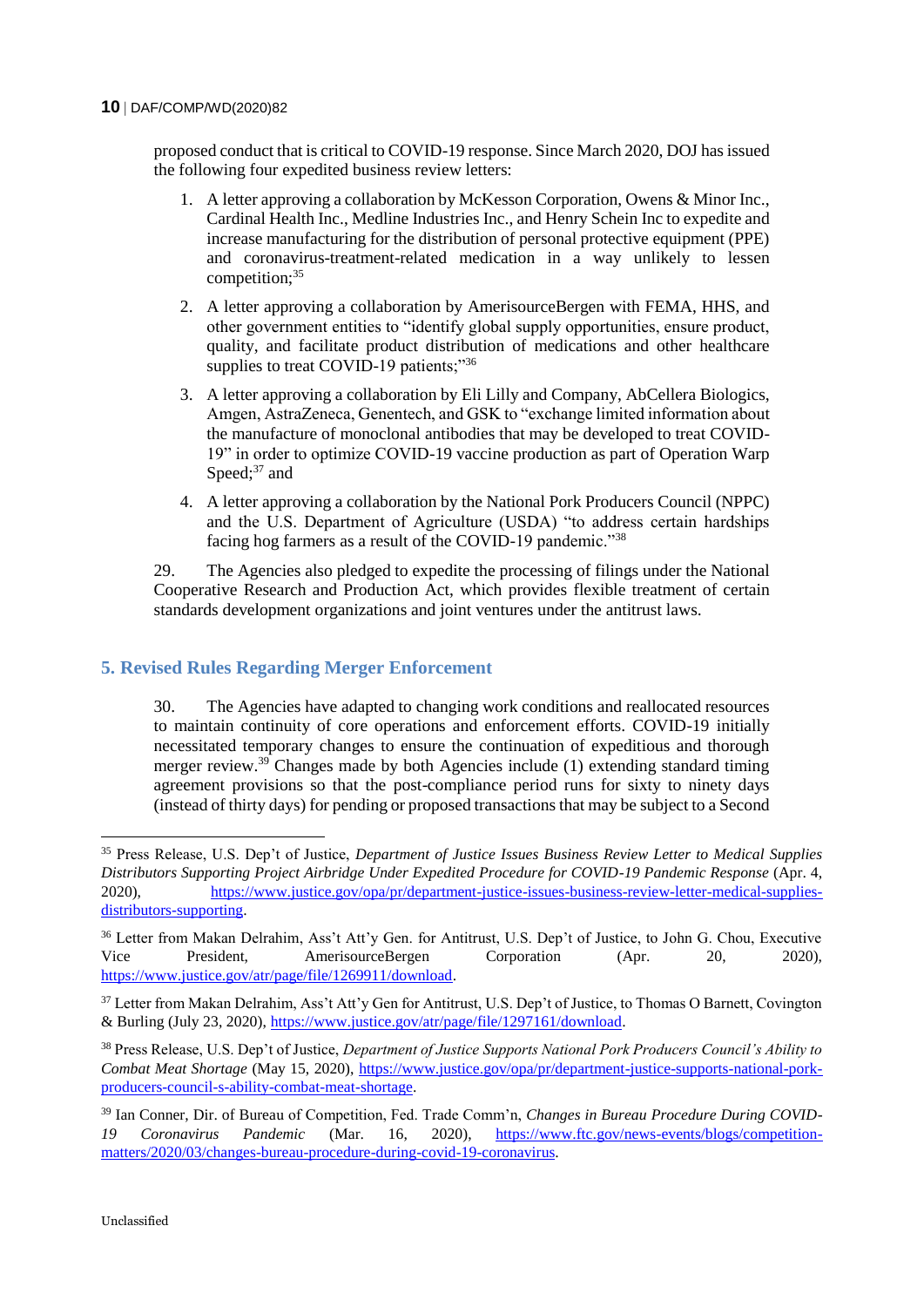#### **10** DAF/COMP/WD(2020)82

proposed conduct that is critical to COVID-19 response. Since March 2020, DOJ has issued the following four expedited business review letters:

- 1. A letter approving a collaboration by McKesson Corporation, Owens & Minor Inc., Cardinal Health Inc., Medline Industries Inc., and Henry Schein Inc to expedite and increase manufacturing for the distribution of personal protective equipment (PPE) and coronavirus-treatment-related medication in a way unlikely to lessen competition;<sup>35</sup>
- 2. A letter approving a collaboration by AmerisourceBergen with FEMA, HHS, and other government entities to "identify global supply opportunities, ensure product, quality, and facilitate product distribution of medications and other healthcare supplies to treat COVID-19 patients;"36
- 3. A letter approving a collaboration by Eli Lilly and Company, AbCellera Biologics, Amgen, AstraZeneca, Genentech, and GSK to "exchange limited information about the manufacture of monoclonal antibodies that may be developed to treat COVID-19" in order to optimize COVID-19 vaccine production as part of Operation Warp Speed: $37$  and
- 4. A letter approving a collaboration by the National Pork Producers Council (NPPC) and the U.S. Department of Agriculture (USDA) "to address certain hardships facing hog farmers as a result of the COVID-19 pandemic."<sup>38</sup>

29. The Agencies also pledged to expedite the processing of filings under the National Cooperative Research and Production Act, which provides flexible treatment of certain standards development organizations and joint ventures under the antitrust laws.

## **5. Revised Rules Regarding Merger Enforcement**

30. The Agencies have adapted to changing work conditions and reallocated resources to maintain continuity of core operations and enforcement efforts. COVID-19 initially necessitated temporary changes to ensure the continuation of expeditious and thorough merger review.<sup>39</sup> Changes made by both Agencies include (1) extending standard timing agreement provisions so that the post-compliance period runs for sixty to ninety days (instead of thirty days) for pending or proposed transactions that may be subject to a Second

<sup>38</sup> Press Release, U.S. Dep't of Justice, *Department of Justice Supports National Pork Producers Council's Ability to Combat Meat Shortage* (May 15, 2020), [https://www.justice.gov/opa/pr/department-justice-supports-national-pork](https://www.justice.gov/opa/pr/department-justice-supports-national-pork-producers-council-s-ability-combat-meat-shortage)[producers-council-s-ability-combat-meat-shortage.](https://www.justice.gov/opa/pr/department-justice-supports-national-pork-producers-council-s-ability-combat-meat-shortage)

<sup>39</sup> Ian Conner, Dir. of Bureau of Competition, Fed. Trade Comm'n, *Changes in Bureau Procedure During COVID-19 Coronavirus Pandemic* (Mar. 16, 2020), [https://www.ftc.gov/news-events/blogs/competition](https://www.ftc.gov/news-events/blogs/competition-matters/2020/03/changes-bureau-procedure-during-covid-19-coronavirus)[matters/2020/03/changes-bureau-procedure-during-covid-19-coronavirus.](https://www.ftc.gov/news-events/blogs/competition-matters/2020/03/changes-bureau-procedure-during-covid-19-coronavirus)

<sup>35</sup> Press Release, U.S. Dep't of Justice, *Department of Justice Issues Business Review Letter to Medical Supplies Distributors Supporting Project Airbridge Under Expedited Procedure for COVID-19 Pandemic Response* (Apr. 4, 2020), [https://www.justice.gov/opa/pr/department-justice-issues-business-review-letter-medical-supplies](https://www.justice.gov/opa/pr/department-justice-issues-business-review-letter-medical-supplies-distributors-supporting)[distributors-supporting.](https://www.justice.gov/opa/pr/department-justice-issues-business-review-letter-medical-supplies-distributors-supporting)

<sup>&</sup>lt;sup>36</sup> Letter from Makan Delrahim, Ass't Att'y Gen. for Antitrust, U.S. Dep't of Justice, to John G. Chou, Executive Vice President, AmerisourceBergen Corporation (Apr. 20, 2020), [https://www.justice.gov/atr/page/file/1269911/download.](https://www.justice.gov/atr/page/file/1269911/download)

<sup>&</sup>lt;sup>37</sup> Letter from Makan Delrahim, Ass't Att'y Gen for Antitrust, U.S. Dep't of Justice, to Thomas O Barnett, Covington & Burling (July 23, 2020), [https://www.justice.gov/atr/page/file/1297161/download.](https://www.justice.gov/atr/page/file/1297161/download)